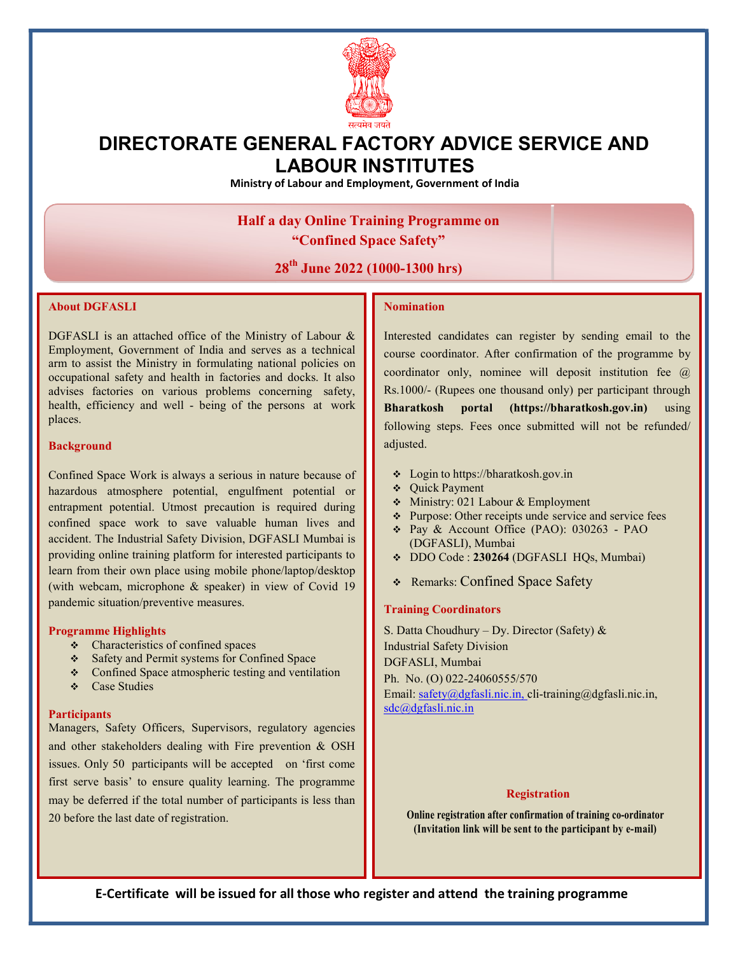

## DIRECTORATE GENERAL FACTORY ADVICE SERVICE AND LABOUR INSTITUTES

Ministry of Labour and Employment, Government of India

### Half a day Online Training Programme on "Confined Space Safety"

### 28<sup>th</sup> June 2022 (1000-1300 hrs)

#### About DGFASLI

n advises factories on various problems concerning safety, health, efficiency and well - being of the persons at work DGFASLI is an attached office of the Ministry of Labour & Employment, Government of India and serves as a technical arm to assist the Ministry in formulating national policies on occupational safety and health in factories and docks. It also places.

#### **Background**

entrapment potential. Utmost precaution is required during  $\begin{bmatrix} \cdot & \cdot & \cdot & \cdot \\ \cdot & \cdot & \cdot & \cdot \\ \cdot & \cdot & \cdot & \cdot \end{bmatrix}$ Confined Space Work is always a serious in nature because of hazardous atmosphere potential, engulfment potential or confined space work to save valuable human lives and accident. The Industrial Safety Division, DGFASLI Mumbai is providing online training platform for interested participants to learn from their own place using mobile phone/laptop/desktop (with webcam, microphone & speaker) in view of Covid 19 pandemic situation/preventive measures.

#### Programme Highlights

- ❖ Characteristics of confined spaces
- \* Safety and Permit systems for Confined Space
- Confined Space atmospheric testing and ventilation
- ❖ Case Studies

#### **Participants**

may be deferred if the total number of participants is less than Managers, Safety Officers, Supervisors, regulatory agencies and other stakeholders dealing with Fire prevention & OSH issues. Only 50 participants will be accepted on 'first come first serve basis' to ensure quality learning. The programme 20 before the last date of registration.

#### Nomination

course coordinator. After confirmation of the programme by  $\|\cdot\|$ following steps. Fees once submitted will not be refunded/ Interested candidates can register by sending email to the coordinator only, nominee will deposit institution fee @ Rs.1000/- (Rupees one thousand only) per participant through Bharatkosh portal (https://bharatkosh.gov.in) using adjusted.

- Login to https://bharatkosh.gov.in
- Quick Payment
- Ministry: 021 Labour & Employment
- Purpose: Other receipts unde service and service fees
- Pay & Account Office (PAO): 030263 PAO (DGFASLI), Mumbai
- DDO Code : 230264 (DGFASLI HQs, Mumbai)
- Remarks: Confined Space Safety

#### Training Coordinators

S. Datta Choudhury – Dy. Director (Safety) & Industrial Safety Division DGFASLI, Mumbai Ph. No. (O) 022-24060555/570 Email: safety@dgfasli.nic.in, cli-training@dgfasli.nic.in, sdc@dgfasli.nic.in

#### Registration

Online registration after confirmation of training co-ordinator (Invitation link will be sent to the participant by e-mail)

E-Certificate will be issued for all those who register and attend the training programme